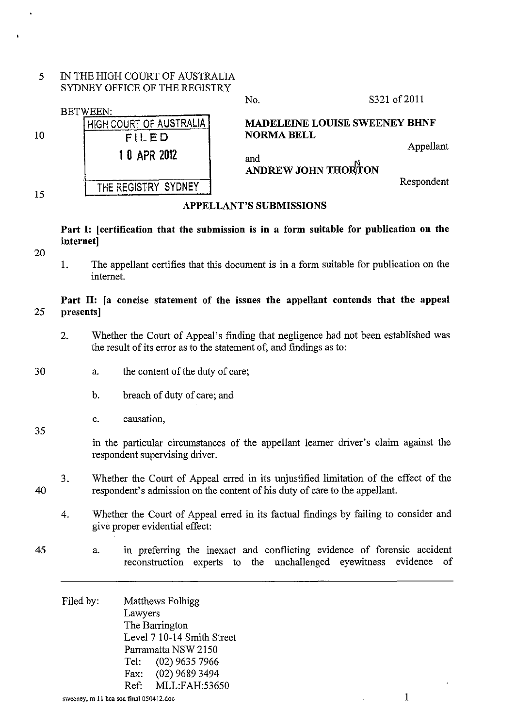*5* IN THE HIGH COURT OF AUSTRALIA SYDNEY OFFICE OF THE REGISTRY

|    |                                                     | INU.                       | 0. JZ I ULZVII                       |
|----|-----------------------------------------------------|----------------------------|--------------------------------------|
| 10 | <b>BETWEEN:</b><br>HIGH COURT OF AUSTRALIA<br>FILED | <b>NORMA BELL</b>          | <b>MADELEINE LOUISE SWEENEY BHNF</b> |
|    | 1 0 APR 2012                                        | and<br>ANDREW JOHN THORTON | Appellant                            |
| 15 | THE REGISTRY SYDNEY                                 |                            | Respondent                           |

#### APPELLANT'S SUBMISSIONS

Part 1: [certification that the submission is in a form suitable for publication on the internet]

20

35

1. The appellant certifies that this document is in a form suitable for publication on the internet.

## Part II: [a concise statement of the issues the appellant contends that the appeal 25 presents]

- 2. Whether the Court of Appeal's fmding that negligence had not been established was the result of its error as to the statement of, and findings as to:
- 30 a. the content of the duty of care;
	- b. breach of duty of care; and
	- c. causation,

in the particular circumstances of the appellant Ieamer driver's claim against the respondent supervising driver.

- 40 3. Whether the Court of Appeal erred in its unjustified limitation of the effect of the respondent's admission on the content of his duty of care to the appellant.
	- 4. Whether the Court of Appeal erred in its factual fmdings by failing to consider and give proper evidential effect:
- 45 a. in preferring the inexact and conflicting evidence of forensic accident reconstruction experts to the unchallenged eyewitness evidence of

Filed by: Matthews Folbigg Lawyers The Barrington Level 7 10-14 Smith Street Parramatta NSW 2150 Tel: (02) 9635 7966 Fax: (02) 9689 3494 Ref: MLL:FAH:53650

 $N_0$  S321 of 2011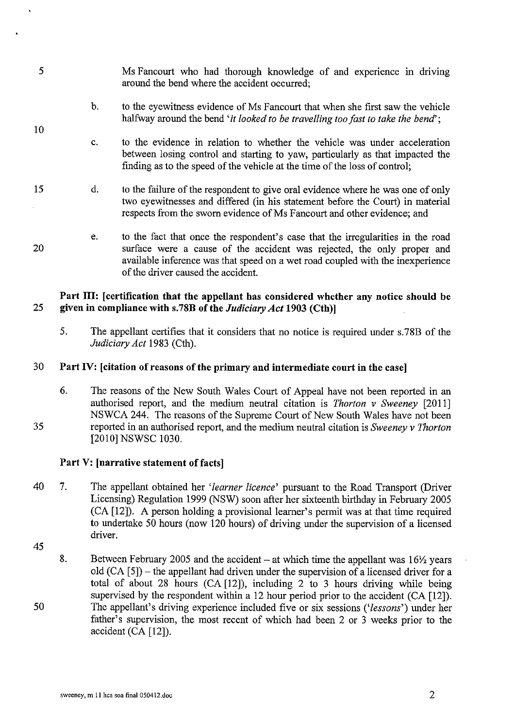- *5*  Ms Fancourt who had thorough knowledge of and experience in driving around the bend where the accident occurred;
	- b. to the eyewitness evidence of Ms Fancourt that when she first saw the vehicle halfway around the bend *'it looked to be travelling too fast to take the bend'*;
	- c. to the evidence in relation to whether the vehicle was under acceleration between losing control and starting to yaw, particularly as that impacted the finding as to the speed of the vehicle at the time of the loss of control;
- 15 d. to the failure of the respondent to give oral evidence where he was one of only two eyewitnesses and differed (in his statement before the Court) in material respects from the sworn evidence of Ms Fancourt and other evidence; and
	- e. to the fact that once the respondent's case that the irregularities in the road surface were a cause of the accident was rejected, the only proper and available inference was that speed on a wet road coupled with the inexperience of the driver caused the accident.

## **Part III: [certification that the appellant has considered whether any notice should be 25 given in compliance with s.78B of the** *Judiciary Act* **1903 (Cth)]**

5. The appellant certifies that it considers that no notice is required under s.78B of the *Judiciary Act* 1983 (Cth).

## 30 **Part IV: [citation of reasons of the primary and intermediate court in the case]**

6. The reasons of the New South Wales Court of Appeal have not been reported in an authorised report, and the medium neutral citation is *Thorton v Sweeney* [2011] NSWCA 244. The reasons of the Supreme Court of New South Wales have not been reported in an authorised report, and the medium neutral citation is *Sweeney v Thorton*  [2010] NSWSC 1030.

## **Part V: [narrative statement of facts]**

- 40 7. The appellant obtained her *'learner licence'* pursuant to the Road Transport (Driver Licensing) Regulation 1999 (NSW) soon after her sixteenth birthday in February 2005 (CA [12]). A person holding a provisional learner's permit was at that time required to undertake 50 hours (now 120 hours) of driving under the supervision of a licensed driver.
- 45

35

10

20

50 8. Between February 2005 and the accident - at which time the appellant was  $16\frac{1}{2}$  years old  $(CA \mid 5)$  – the appellant had driven under the supervision of a licensed driver for a total of about 28 hours (CA [12]), including 2 to 3 hours driving while being supervised by the respondent within a 12 hour period prior to the accident (CA [12]). The appellant's driving experience included five or six sessions *('lessons')* under her father's supervision, the most recent of which had been 2 or 3 weeks prior to the accident (CA [12]).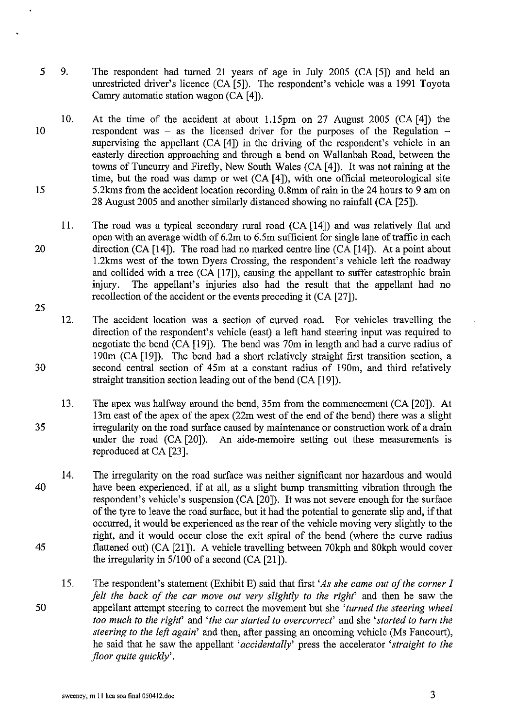- 5 9. The respondent had turned 21 years of age in July 2005 (CA [5]) and held an unrestricted driver's licence (CA [5]). The respondent's vehicle was a 1991 Toyota Camry automatic station wagon (CA [4]).
- 10 15 10. At the time of the accident at about l.lSpm on 27 August 2005 (CA [4]) the respondent was  $-$  as the licensed driver for the purposes of the Regulation  $$ supervising the appellant (CA [4]) in the driving of the respondent's vehicle in an easterly direction approaching and through a bend on Wallanbah Road, between the towns of Tuncurry and Firefly, New South Wales (CA [4]). It was not raining at the time, but the road was damp or wet (CA [4]), with one official meteorological site 5.2kms from the accident location recording 0.8mm of rain in the 24 hours to 9 am on 28 August 2005 and another similarly distanced showing no rainfall (CA [25]).
- 20 25 11. The road was a typical secondary rural road (CA [14]) and was relatively flat and open with an average width of 6.2m to 6.5m sufficient for single lane of traffic in each direction (CA [14]). The road had no marked centre line (CA [14]). At a point about 1.2kms west of the town Dyers Crossing, the respondent's vehicle left the roadway and collided with a tree (CA [17]), causing the appellant to suffer catastrophic brain injury. The appellant's injuries also had the result that the appellant had no The appellant's injuries also had the result that the appellant had no recollection of the accident or the events preceding it (CA [27]).
- 12. The accident location was a section of curved road. For vehicles travelling the direction of the respondent's vehicle (east) a left hand steering input was required to negotiate the bend (CA [19]). The bend was 70m in length and had a curve radius of 190m (CA [19]). The bend had a short relatively straight first transition section, a 30 second central section of 45m at a constant radius of 190m, and third relatively straight transition section leading out of the bend (CA [19]).
- 13. The apex was halfway around the bend, 35m from the commencement (CA [20]). At 13m east of the apex of the apex (22m west of the end of the bend) there was a slight 35 irregularity on the road surface caused by maintenance or construction work of a drain under the road (CA [20]). An aide-memoire setting out these measurements is reproduced at CA [23].
- 14. The irregularity on the road surface was neither significant nor hazardous and would 40 have been experienced, if at all, as a slight bump transmitting vibration through the respondent's vehicle's suspension (CA [20]). It was not severe enough for the surface of the tyre to leave the road surface, but it had the potential to generate slip and, if that occurred, it would be experienced as the rear of the vehicle moving very slightly to the right, and it would occur close the exit spiral of the bend (where the curve radius 45 flattened out) (CA [21 ]). A vehicle travelling between 70kph and 80kph would cover the irregularity in 5/100 of a second (CA [21]).
- IS. The respondent's statement (Exhibit E) said that first *'As she came out of the corner I felt the back of the car move out very slightly to the right'* and then he saw the 50 appellant attempt steering to correct the movement but she *'turned the steering wheel too much to the right'* and *'the car started to overcorrect'* and she *'started to turn the steering to the left again'* and then, after passing an oncoming vehicle (Ms Fancourt), he said that he saw the appellant *'accidentally'* press the accelerator *'straight to the floor quite quickly'.*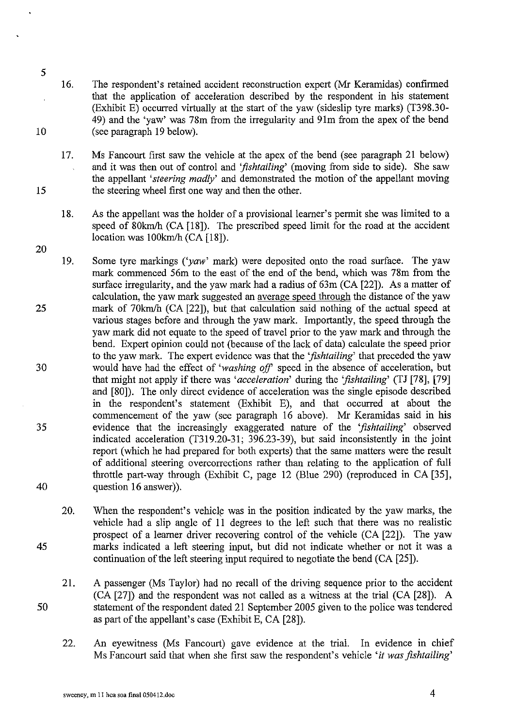- 10 16. The respondent's retained accident reconstruction expert (Mr Keramidas) confirmed that the application of acceleration described by the respondent in his statement (Exhibit E) occurred virtually at the start of the yaw (sideslip tyre marks) (T398.30- 49) and the 'yaw' was 78m from the irregularity and 91m from the apex of the bend (see paragraph 19 below).
	- 17. Ms Fancourt first saw the vehicle at the apex of the bend (see paragraph 21 below) and it was then out of control and *'fishtailing'* (moving from side to side). She saw the appellant *'steering madly'* and demonstrated the motion of the appellant moving the steering wheel first one way and then the other.
	- 18. As the appellant was the holder of a provisional learner's permit she was limited to a speed of 80km/h (CA [18]). The prescribed speed limit for the road at the accident location was 100km/h (CA [18]).
- 25 30 35 40 19. Some tyre markings *('yaw'* mark) were deposited onto the road surface. The yaw mark commenced 56m to the east of the end of the bend, which was 78m from the surface irregularity, and the yaw mark had a radius of 63m (CA [22]). As a matter of calculation, the yaw mark suggested an average speed through the distance of the yaw mark of 70km/h (CA [22]), but that calculation said nothing of the actual speed at various stages before and through the yaw mark. Importantly, the speed through the yaw mark did not equate to the speed of travel prior to the yaw mark and through the bend. Expert opinion could not (because of the lack of data) calculate the speed prior to the yaw mark. The expert evidence was that the *'fishtailing'* that preceded the yaw would have had the effect of *'washing off'* speed in the absence of acceleration, but that might not apply if there was *'acceleration'* during the *'fishtailing'* (TJ [78], [79] and [80]). The only direct evidence of acceleration was the single episode described in the respondent's statement (Exhibit E), and that occurred at about the commencement of the yaw (see paragraph 16 above). Mr Keramidas said in his evidence that the increasingly exaggerated nature of the *'fishtailing'* observed indicated acceleration (T319.20-31; 396.23-39), but said inconsistently in the joint report (which he had prepared for both experts) that the same matters were the result of additional steering overcorrections rather than relating to the application of full throttle part-way through (Exhibit C, page 12 (Blue 290) (reproduced in CA [35], question 16 answer)).
- 45 20. When the respondent's vehicle was in the position indicated by the yaw marks, the vehicle had a slip angle of 11 degrees to the left such that there was no realistic prospect of a Ieamer driver recovering control of the vehicle (CA [22]). The yaw marks indicated a left steering input, but did not indicate whether or not it was a continuation of the left steering input required to negotiate the bend (CA [25]).
- 50 21. A passenger (Ms Taylor) had no recall of the driving sequence prior to the accident (CA [27]) and the respondent was not called as a witness at the trial (CA [28]). A statement of the respondent dated 21 September 2005 given to the police was tendered as part of the appellant's case (Exhibit E, CA [28]).
	- 22. An eyewitness (Ms Fancourt) gave evidence at the trial. In evidence in chief Ms Fancourt said that when she first saw the respondent's vehicle *'it was fishtailing'*

15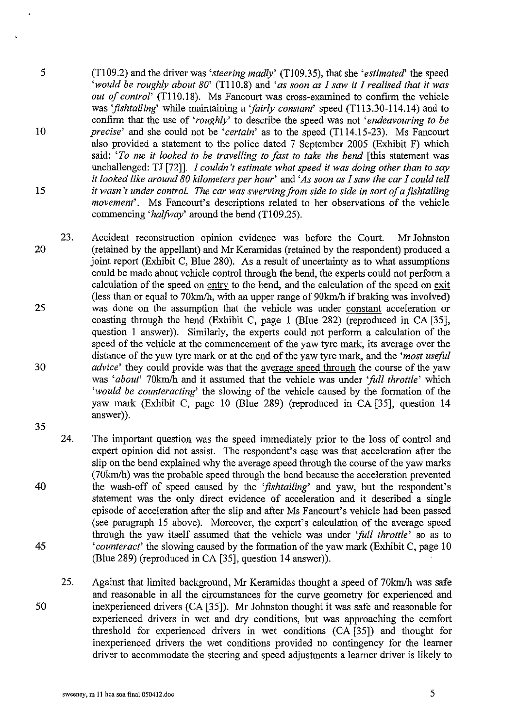- 5 (T!09.2) and the driver was *'steering madly'* (TI09.35), that she *'estimated'* the speed *'would be roughly about 80'* (T110.8) and *'as soon as I saw it I realised that it was out of control'* (T110.18). Ms Fancourt was cross-examined to confirm the vehicle was *'fishtailing'* while maintaining a *'fairly constant'* speed (T113.30-114.14) and to confirm that the use of *'roughly'* to describe the speed was not *'endeavouring to be*  10 *precise'* and she could not be *'certain'* as to the speed (T114.15-23). Ms Fancourt also provided a statement to the police dated 7 September 2005 (Exhibit F) which said: *'To me it looked to be travelling to fast to take the bend* [this statement was unchallenged: TJ [72]]. *I couldn't estimate what speed it was doing other than to say it looked like around 80 kilometers per hour'* and *'As soon as I saw the car I could tell*  15 *it wasn't under control. The car was swerving from side to side in sort of a fishtailing movement'*. Ms Fancourt's descriptions related to her observations of the vehicle commencing 'halfway' around the bend (T109.25).
- 23. Accident reconstruction opinion evidence was before the Court. Mr Johnston 20 (retained by the appellant) and Mr Keramidas (retained by the respondent) produced a joint report (Exhibit C, Blue 280). As a result of uncertainty as to what assumptions could be made about vehicle control through the bend, the experts could not perform a calculation of the speed on entry to the bend, and the calculation of the speed on exit (less than or equal to 70km/h, with an upper range of 90km/h if braking was involved) 25 was done on the assumption that the vehicle was under constant acceleration or coasting through the bend (Exhibit C, page 1 (Blue 282) (reproduced in CA [35], question I answer)). Similarly, the experts could not perform a calculation of the speed of the vehicle at the commencement of the yaw tyre mark, its average over the distance of the yaw tyre mark or at the end of the yaw tyre mark, and the *'most useful*  30 *advice'* they could provide was that the average speed through the course of the yaw was 'about' 70km/h and it assumed that the vehicle was under 'full throttle' which *'would be counteracting'* the slowing of the vehicle caused by the formation of the yaw mark (Exhibit C, page 10 (Blue 289) (reproduced in CA [35], question 14 answer)). 35
- 40 45 24. The important question was the speed immediately prior to the loss of control and expert opinion did not assist. The respondent's case was that acceleration after the slip on the bend explained why the average speed through the course of the yaw marks (70kmlh) was the probable speed through the bend because the acceleration prevented the wash-off of speed caused by the *'fishtailing'* and yaw, but the respondent's statement was the only direct evidence of acceleration and it described a single episode of acceleration after the slip and after Ms Fancourt's vehicle had been passed (see paragraph 15 above). Moreover, the expert's calculation of the average speed through the yaw itself assumed that the vehicle was under *'full throttle'* so as to *'counteract'* the slowing caused by the formation of the yaw mark (Exhibit C, page 10 (Blue 289) (reproduced inCA [35], question 14 answer)).
- 50 25. Against that limited background, Mr Keramidas thought a speed of 70km/h was safe and reasonable in all the circumstances for the curve geometry for experienced and inexperienced drivers (CA [35]). Mr Johnston thought it was safe and reasonable for experienced drivers in wet and dry conditions, but was approaching the comfort threshold for experienced drivers in wet conditions (CA [35]) and thought for inexperienced drivers the wet conditions provided no contingency for the learner driver to accommodate the steering and speed adjustments a learner driver is likely to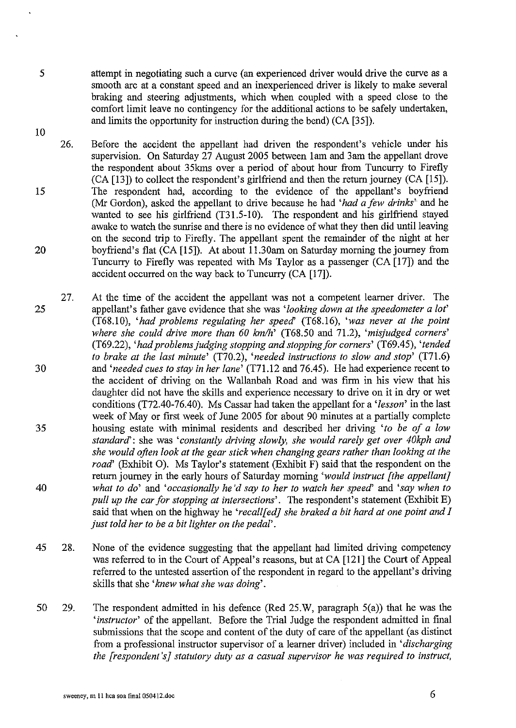10

attempt in negotiating such a curve (an experienced driver would drive the curve as a smooth arc at a constant speed and an inexperienced driver is likely to make several braking and steering adjustments, which when coupled with a speed close to the comfort limit leave no contingency for the additional actions to be safely undertaken, and limits the opportunity for instruction during the bend) (CA [35]).

- 26. Before the accident the appellant had driven the respondent's vehicle under his supervision. On Saturday 27 August 2005 between lam and 3am the appellant drove the respondent about 35kms over a period of about hour from Tuncurry to Firefly (CA [13]) to collect the respondent's girlfriend and then the return journey (CA [15]). 15 The respondent had, according to the evidence of the appellant's boyfriend (Mr Gordon), asked the appellant to drive because he had *'had a few drinks'* and he wanted to see his girlfriend (T31.5-10). The respondent and his girlfriend stayed awake to watch the sunrise and there is no evidence of what they then did until leaving on the second trip to Firefly. The appellant spent the remainder of the night at her 20 boyfriend's flat (CA [15]). At about 11.30am on Saturday morning the journey from Tuncurry to Firefly was repeated with Ms Taylor as a passenger (CA [17]) and the accident occurred on the way back to Tuncurry (CA [17]).
- 27. At the time of the accident the appellant was not a competent learner driver. The 25 appellant's father gave evidence that she was *'looking down at the speedometer a lot'*  (T68.10), *'had problems regulating her speecf* (T68.16), *'was never at the point where she could drive more than 60 kmlh'* (T68.50 and 71.2), *'misjudged corners'*  (T69 .22), *'had problems judging stopping and stopping for corners'* (T69 .45), *'tended to brake at the last minute'* (T70.2), *'needed instructions to slow and stop'* (T71.6) 30 and *'needed cues to stay in her lane'* (T71.12 and 76.45). He had experience recent to the accident of driving on the Wallanbah Road and was firm in his view that his daughter did not have the skills and experience necessary to drive on it in dry or wet conditions (T72.40-76.40). Ms Cassar had taken the appellant for a *'lesson'* in the last week of May or first week of June 2005 for about 90 minutes at a partially complete 35 housing estate with minimal residents and described her driving *'to be of a low standard':* she was *'constantly driving slowly, she would rarely get over 40kph and she would often look at the gear stick when changing gears rather than looking at the road'* (Exhibit 0). Ms Taylor's statement (Exhibit F) said that the respondent on the return journey in the early hours of Saturday morning *'would instruct [the appellant]*  40 *what to do'* and *'occasionally he'd say to her to watch her speed'* and *'say when to pull up the car for stopping at intersections'.* The respondent's statement (Exhibit E) said that when on the highway he *'recall fed] she braked a bit hard at one point and I just told her to be a bit lighter on the pedal'.*
- 45 28. None of the evidence suggesting that the appellant had limited driving competency was referred to in the Court of Appeal's reasons, but at CA [121] the Court of Appeal referred to the untested assertion of the respondent in regard to the appellant's driving skills that she *'knew what she was doing'.*
- 50 29. The respondent admitted in his defence (Red 25.W, paragraph 5(a)) that he was the *'instructor'* of the appellant. Before the Trial Judge the respondent admitted in final submissions that the scope and content of the duty of care of the appellant (as distinct from a professional instructor supervisor of a learner driver) included in *'discharging the [respondent's} statutory duty as a casual supervisor he was required to instruct,*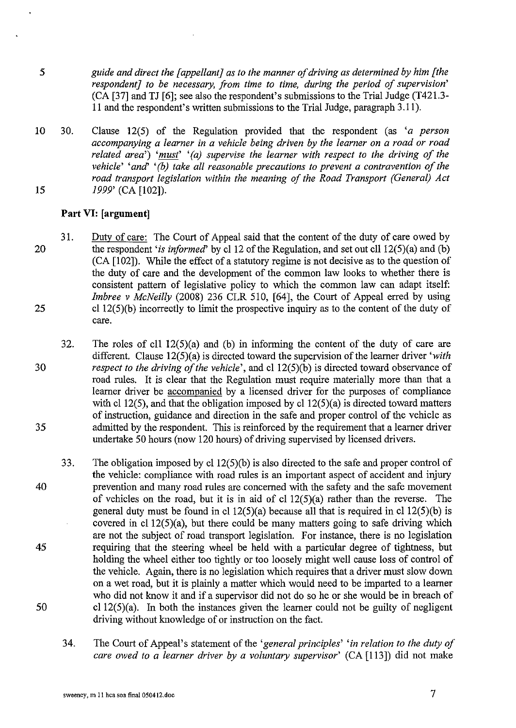- 5 *guide and direct the [appellant] as to the manner of driving as determined by him [the respondent] to be necessary, from time to time, during the period of supervision'*  (CA [37] and TJ [6]; see also the respondent's submissions to the Trial Judge (T421.3- 11 and the respondent's written submissions to the Trial Judge, paragraph 3.11).
- 10 30. Clause 12(5) of the Regulation provided that the respondent (as *'a person accompanying a learner in a vehicle being driven by the learner on a road or road related area') 'must' '(a) supervise the learner with respect to the driving of the vehicle' 'and' '(b) take all reasonable precautions to prevent a contravention of the road transport legislation within the meaning of the Road Transport (General) Act*  **15** *1999'* (CA **[1** 02]).

## **Part VI: [argument]**

- 20 25 31. Duty of care: The Court of Appeal said that the content of the duty of care owed by the respondent *'is informed'* by cl 12 of the Regulation, and set out cll 12(5)(a) and (b) (CA [102]). While the effect of a statutory regime is not decisive as to the question of the duty of care and the development of the common law looks to whether there is consistent pattern of legislative policy to which the common law can adapt itself: *Imbree v McNeilly* (2008) 236 CLR 510, [64], the Court of Appeal erred by using  $cl 12(5)(b)$  incorrectly to limit the prospective inquiry as to the content of the duty of care.
- 30 35 32. The roles of c11  $12(5)(a)$  and (b) in informing the content of the duty of care are different. Clause 12(5)(a) is directed toward the supervision of the learner driver *'with respect to the driving of the vehicle'*, and cl 12(5)(b) is directed toward observance of road rules. It is clear that the Regulation must require materially more than that a learner driver be accompanied by a licensed driver for the purposes of compliance with cl 12(5), and that the obligation imposed by cl  $12(5)(a)$  is directed toward matters of instruction, guidance and direction in the safe and proper control of the vehicle as admitted by the respondent. This is reinforced by the requirement that a learner driver undertake 50 hours (now 120 hours) of driving supervised by licensed drivers.
- 40 **45**  50 33. The obligation imposed by cl  $12(5)(b)$  is also directed to the safe and proper control of the vehicle: compliance with road rules is an important aspect of accident and injury prevention and many road rules are concerned with the safety and the safe movement of vehicles on the road, but it is in aid of cl  $12(5)(a)$  rather than the reverse. The general duty must be found in cl  $12(5)(a)$  because all that is required in cl  $12(5)(b)$  is covered in cl  $12(5)(a)$ , but there could be many matters going to safe driving which are not the subject of road transport legislation. For instance, there is no legislation requiring that the steering wheel be held with a particular degree of tightness, but holding the wheel either too tightly or too loosely might well cause loss of control of the vehicle. Again, there is no legislation which requires that a driver must slow down on a wet road, but it is plainly a matter which would need to be imparted to a learner who did not know it and if a supervisor did not do so he or she would be in breach of cl  $12(5)(a)$ . In both the instances given the learner could not be guilty of negligent driving without knowledge of or instruction on the fact.
	- 34. The Court of Appeal's statement of the *'general principles' 'in relation to the duty of care owed to a learner driver by a voluntary supervisor'* (CA [113]) did not make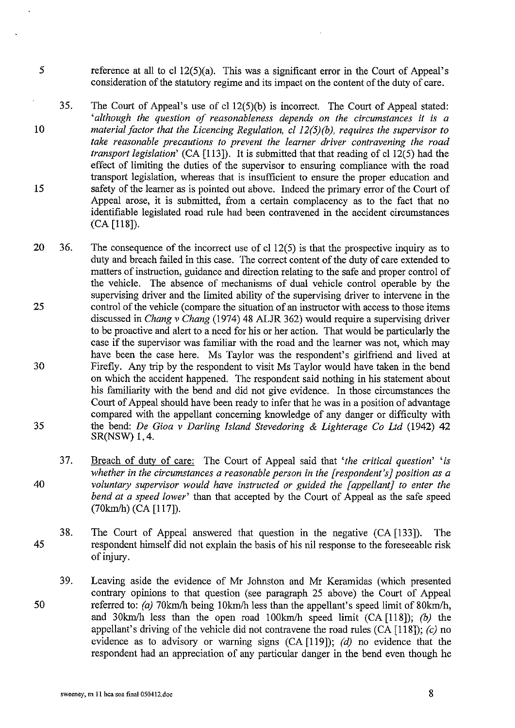- 5 reference at all to cl  $12(5)(a)$ . This was a significant error in the Court of Appeal's consideration of the statutory regime and its impact on the content of the duty of care.
- 35. 10 15 The Court of Appeal's use of cl12(5)(b) is incorrect. The Court of Appeal stated: *'although the question of reasonableness depends on the circumstances it is a material factor that the Licencing Regulation,* cl *12(5)(b), requires the supervisor to take reasonable precautions to prevent the learner driver contravening the road transport legislation'* (CA [113]). It is submitted that that reading of cl 12(5) had the effect of limiting the duties of the supervisor to ensuring compliance with the road transport legislation, whereas that is insufficient to ensure the proper education and safety of the learner as is pointed out above. Indeed the primary error of the Court of Appeal arose, it is submitted, from a certain complacency as to the fact that no identifiable legislated road rule had been contravened in the accident circumstances (CA [118]).
- 20 36. 25 30 35 The consequence of the incorrect use of cl 12(5) is that the prospective inquiry as to duty and breach failed in this case. The correct content of the duty of care extended to matters of instruction, guidance and direction relating to the safe and proper control of the vehicle. The absence of mechanisms of dual vehicle control operable by the supervising driver and the limited ability of the supervising driver to intervene in the control of the vehicle (compare the situation of an instructor with access to those items discussed in *Chang v Chang* (1974) 48 ALJR 362) would require a supervising driver to be proactive and alert to a need for his or her action. That would be particularly the case if the supervisor was familiar with the road and the learner was not, which may have been the case here. Ms Taylor was the respondent's girlfriend and lived at Firefly. Any trip by the respondent to visit Ms Taylor would have taken in the bend on which the accident happened. The respondent said nothing in his statement about his familiarity with the bend and did not give evidence. In those circumstances the Court of Appeal should have been ready to infer that he was in a position of advantage compared with the appellant concerning knowledge of any danger or difficulty with the bend: *De Gioa v Darling Island Stevedoring* & *Lighterage Co Ltd* (1942) 42 SR(NSW) 1, 4.
- 37. 40 Breach of dutv of care: The Court of Appeal said that *'the critical question' 'is whether in the circumstances a reasonable person in the [respondent's] position as a voluntary supervisor would have instructed or guided the [appellant] to enter the bend at a speed lower'* than that accepted by the Court of Appeal as the safe speed (70km/h) (CA [117]).
- 38. 45 The Court of Appeal answered that question in the negative (CA [133]). The respondent himself did not explain the basis of his nil response to the foreseeable risk of injury.
- 39. 50 Leaving aside the evidence of Mr Johnston and Mr Keramidas (which presented contrary opinions to that question (see paragraph 25 above) the Court of Appeal referred to: *(a)* 70km/h being 10km/h less than the appellant's speed limit of 80km/h, and 30km/h less than the open road 100km/h speed limit (CA [118]); *(b)* the appellant's driving of the vehicle did not contravene the road rules (CA [118]); *(c)* no evidence as to advisory or warning signs  $(CA [119])$ ; (d) no evidence that the respondent had an appreciation of any particular danger in the bend even though he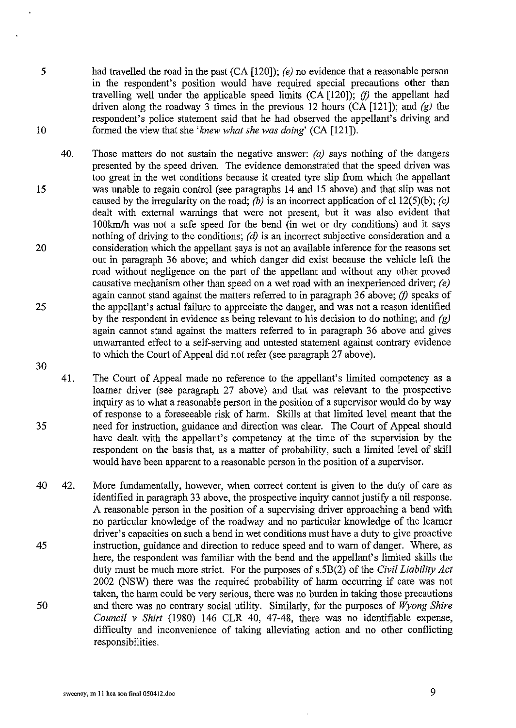- *5*  10 had travelled the road in the past (CA [120]); *(e)* no evidence that a reasonable person in the respondent's position would have required special precautions other than travelling well under the applicable speed limits  $(CA [120])$ ; (f) the appellant had driven along the roadway 3 times in the previous 12 hours (CA [121]); and *(g)* the respondent's police statement said that he had observed the appellant's driving and formed the view that she *'knew what she was doing'* (CA [121]).
- 15 20 25 40. Those matters do not sustain the negative answer: *(a)* says nothing of the dangers presented by the speed driven. The evidence demonstrated that the speed driven was too great in the wet conditions because it created tyre slip from which the appellant was unable to regain control (see paragraphs 14 and 15 above) and that slip was not caused by the irregularity on the road; *(b)* is an incorrect application of cl 12(5)(b); *(c)* dealt with external warnings that were not present, but it was also evident that 1 OOkm/h was not a safe speed for the bend (in wet or dry conditions) and it says nothing of driving to the conditions; *(d)* is an incorrect subjective consideration and a consideration which the appellant says is not an available inference for the reasons set out in paragraph 36 above; and which danger did exist because the vehicle left the road without negligence on the part of the appellant and without any other proved causative mechanism other than speed on a wet road with an inexperienced driver; *(e)*  again cannot stand against the matters referred to in paragraph 36 above;  $(f)$  speaks of the appellant's actual failure to appreciate the danger, and was not a reason identified by the respondent in evidence as being relevant to his decision to do nothing; and *(g)*  again cannot stand against the matters referred to in paragraph 36 above and gives unwarranted effect to a self-serving and untested statement against contrary evidence to which the Court of Appeal did not refer (see paragraph 27 above).
- 30

35 41. The Court of Appeal made no reference to the appellant's limited competency as a learner driver (see paragraph 27 above) and that was relevant to the prospective inquiry as to what a reasonable person in the position of a supervisor would do by way of response to a foreseeable risk of harm. Skills at that limited level meant that the need for instruction, guidance and direction was clear. The Court of Appeal should have dealt with the appellant's competency at the time of the supervision by the respondent on the basis that, as a matter of probability, such a limited level of skill would have been apparent to a reasonable person in the position of a supervisor.

40 42. More fundamentally, however, when correct content is given to the duty of care as identified in paragraph 33 above, the prospective inquiry cannot justify a nil response. A reasonable person in the position of a supervising driver approaching a bend with no particular knowledge of the roadway and no particular knowledge of the learner driver's capacities on such a bend in wet conditions must have a duty to give proactive instruction, guidance and direction to reduce speed and to warn of danger. Where, as here, the respondent was familiar with the bend and the appellant's limited skills the duty must be much more strict. For the purposes of s.5B(2) of the *Civil Liability Act*  2002 (NSW) there was the required probability of harm occurring if care was not taken, the harm could be very serious, there was no burden in taking those precautions and there was no contrary social utility. Similarly, for the purposes of *Wyong Shire Council v Shirt* (1980) 146 CLR 40, 47-48, there was no identifiable expense, difficulty and inconvenience of taking alleviating action and no other conflicting responsibilities. 45 50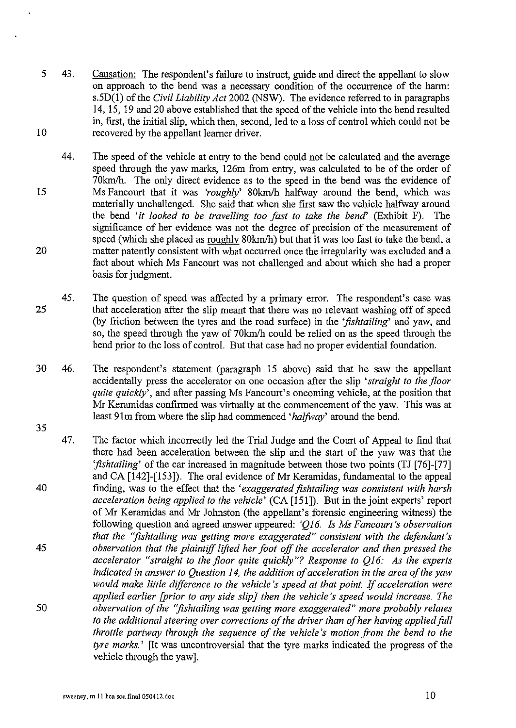- *5* 43. 10 Causation: The respondent's failure to instruct, guide and direct the appellant to slow on approach to the bend was a necessary condition of the occurrence of the harm: s.SD(l) of the *Civil Liability Act* 2002 (NSW). The evidence referred to in paragraphs 14, 15, 19 and 20 above established that the speed of the vehicle into the bend resulted in, first, the initial slip, which then, second, led to a loss of control which could not be recovered by the appellant learner driver.
- 44. 15 20 The speed of the vehicle at entry to the bend could not be calculated and the average speed through the yaw marks, 126m from entry, was calculated to be of the order of 70krn/h. The only direct evidence as to the speed in the bend was the evidence of Ms Fancourt that it was *'roughly'* 80krn/h halfway around the bend, which was materially unchallenged. She said that when she first saw the vehicle halfway around the bend *'it looked to be travelling too fast to take the bend'* (Exhibit F). The significance of her evidence was not the degree of precision of the measurement of speed (which she placed as roughly 80km/h) but that it was too fast to take the bend, a matter patently consistent with what occurred once the irregularity was excluded and a fact about which Ms Fancourt was not challenged and about which she had a proper basis for judgment.
- 45. 25 The question of speed was affected by a primary error. The respondent's case was that acceleration after the slip meant that there was no relevant washing off of speed (by friction between the tyres and the road surface) in the *'fishtailing'* and yaw, and so, the speed through the yaw of 70km/h could be relied on as the speed through the bend prior to the loss of control. But that case had no proper evidential foundation.
- 30 46. 35 The respondent's statement (paragraph 15 above) said that he saw the appellant accidentally press the accelerator on one occasion after the slip *'straight to the floor quite quickly*, and after passing Ms Fancourt's oncoming vehicle, at the position that Mr Keramidas confirmed was virtually at the commencement of the yaw. This was at least 91m from where the slip had commenced *'halfivay'* around the bend.
- 47. 40 45 50 The factor which incorrectly led the Trial Judge and the Court of Appeal to find that there had been acceleration between the slip and the start of the yaw was that the *'fishtailing'* of the car increased in magnitude between those two points (TJ [76]-[77] and CA  $[142]$ - $[153]$ ). The oral evidence of Mr Keramidas, fundamental to the appeal finding, was to the effect that the *'exaggerated fishtailing was consistent with harsh acceleration being applied to the vehicle'* (CA [151]). But in the joint experts' report of Mr Keramidas and Mr Johnston (the appellant's forensic engineering witness) the following question and agreed answer appeared: 'Q16. Is Ms Fancourt's observation *that the "fishtailing was getting more exaggerated" consistent with the defendant's observation that the plaintiff lifted her foot off the accelerator and then pressed the accelerator "straight to the floor quite quickly"? Response to Q16: As the experts indicated* in *answer to Question 14, the addition of acceleration in the area of the yaw would make little difference to the vehicle's speed at that point.* If *acceleration were applied earlier [prior to any side slip} then the vehicle's speed would increase. The observation of the "fishtailing was getting more exaggerated" more probably relates to the additional steering over corrections of the driver than of her having applied foll throttle partway through the sequence of the vehicle 's motion from the bend to the tyre marks.'* [It was uncontroversial that the tyre marks indicated the progress of the vehicle through the yaw].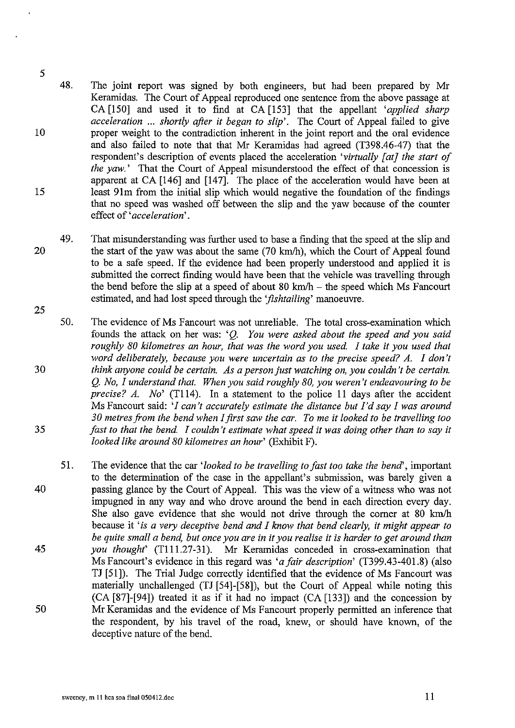- 10 15 48. The joint report was signed by both engineers, but had been prepared by Mr Keramidas. The Court of Appeal reproduced one sentence from the above passage at CA [150] and used it to find at CA [153] that the appellant *'applied sharp acceleration* ... *shortly after it began to slip'.* The Court of Appeal failed to give proper weight to the contradiction inherent in the joint report and the oral evidence and also failed to note that that Mr Keramidas had agreed (T398.46-47) that the respondent's description of events placed the acceleration *'virtually [at] the start of the yaw.'* That the Court of Appeal misunderstood the effect of that concession is apparent at CA [146] and [147]. The place of the acceleration would have been at least 91m from the initial slip which would negative the foundation of the findings that no speed was washed off between the slip and the yaw because of the counter effect of' *acceleration'.*
- 20 25 49. That misunderstanding was further used to base a finding that the speed at the slip and the start of the yaw was about the same (70 km/h), which the Court of Appeal found to be a safe speed. If the evidence had been properly understood and applied it is submitted the correct finding would have been that the vehicle was travelling through the bend before the slip at a speed of about 80 km/h  $-$  the speed which Ms Fancourt estimated, and had lost speed through the *'fishtailing'* manoeuvre.
- 50. The evidence of Ms Fancourt was not unreliable. The total cross-examination which founds the attack on her was: 'Q. *You were asked about the speed and you said roughly 80 kilometres an hour, that was the word you used. I take it you used that word deliberately, because you were uncertain as to the precise speed? A. I don't*  30 *think anyone could be certain. As a person just watching on, you couldn't be certain.*  Q. *No, I understand that. When you said roughly 80, you weren't endeavouring to be precise? A. No'* (T114). In a statement to the police 11 days after the accident Ms Fancourt said: *'/can't accurately estimate the distance but I'd say I was around 30 metres from the bend when !first saw the car. To me* it *looked to be travelling too*  35 *fast to that the bend. I couldn't estimate what speed* it *was doing other than to say* it *looked like around 80 kilometres an hour'* (Exhibit F).
- 51. The evidence that the car *'looked to be travelling to fast too take the bend',* important to the determination of the case in the appellant's submission, was barely given a 40 passing glance by the Court of Appeal. This was the view of a witness who was not impugned in any way and who drove around the bend in each direction every day. She also gave evidence that she would not drive through the comer at 80 km/h because it 'is *a very deceptive bend and I know that bend clearly,* it *might appear to be quite small a bend, but once you are* in it *you realise* it is *harder to get around than*  45 *you thought'* (Tlll.27-31). Mr Keramidas conceded in cross-examination that Ms Fancourt's evidence in this regard was *'a fair description'* (T399.43-401.8) (also TJ [51]). The Trial Judge correctly identified that the evidence of Ms Fancourt was materially unchallenged (TJ [54]-[58]), but the Court of Appeal while noting this (CA [87]-[94]) treated it as if it had no impact (CA [133]) and the concession by 50 Mr Keramidas and the evidence of Ms Fancourt properly permitted an inference that the respondent, by his travel of the road, knew, or should have known, of the deceptive nature of the bend.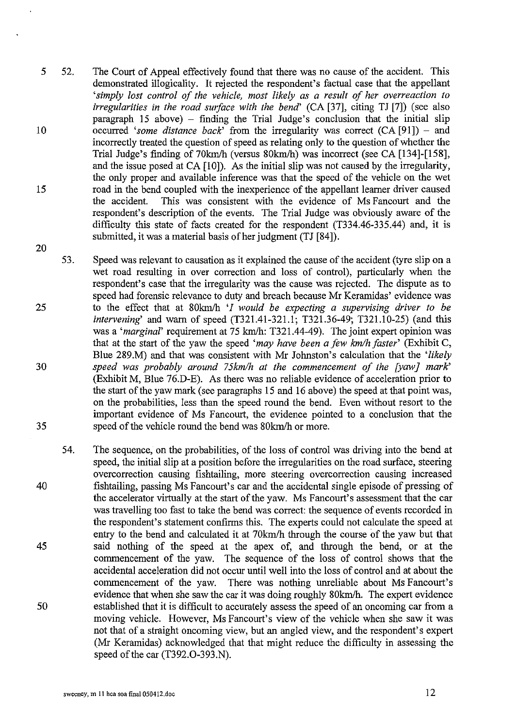- 5 52. 10 15 The Court of Appeal effectively found that there was no cause of the accident. This demonstrated illogicality. It rejected the respondent's factual case that the appellant *'simply lost control of the vehicle, most likely as a result of her overreaction to irregularities in the road surface with the bend'* (CA [37], citing TJ [7]) (see also  $\beta$  paragraph 15 above) – finding the Trial Judge's conclusion that the initial slip occurred 'some distance back' from the irregularity was correct (CA [91]) - and incorrectly treated the question of speed as relating only to the question of whether the Trial Judge's finding of 70km/h (versus 80km/h) was incorrect (see CA [134]-[158], and the issue posed at CA [10]). As the initial slip was not caused by the irregularity, the only proper and available inference was that the speed of the vehicle on the wet road in the bend coupled with the inexperience of the appellant learner driver caused<br>the accident. This was consistent with the evidence of Ms Fancourt and the This was consistent with the evidence of Ms Fancourt and the respondent's description of the events. The Trial Judge was obviously aware of the difficulty this state of facts created for the respondent (T334.46-335.44) and, it is submitted, it was a material basis of her judgment (TJ [84]).
- 53. 25 30 35 Speed was relevant to causation as it explained the cause of the accident (tyre slip on a wet road resulting in over correction and loss of control), particularly when the respondent's case that the irregularity was the cause was rejected. The dispute as to speed had forensic relevance to duty and breach because Mr Keramidas' evidence was to the effect that at 80km/h *'I would be expecting a supervising driver to be intervening'* and warn of speed (T321.41-321.1; T321.36-49; T321.10-25) (and this was a *'marginal'* requirement at 75 krn/h: T321.44-49). The joint expert opinion was that at the start of the yaw the speed *'may have been a few km/h faster'* (Exhibit C, Blue 289.M) and that was consistent with Mr Johnston's calculation that the *'likely speed was probably around 75kmlh at the commencement of the [yaw] mark'*  (Exhibit M, Blue 76.D-E). As there was no reliable evidence of acceleration prior to the start of the yaw mark (see paragraphs 15 and 16 above) the speed at that point was, on the probabilities, less than the speed round the bend. Even without resort to the important evidence of Ms Fancourt, the evidence pointed to a conclusion that the speed of the vehicle round the bend was 80km/h or more.
- 54. 40 45 The sequence, on the probabilities, of the loss of control was driving into the bend at speed, the initial slip at a position before the irregularities on the road surface, steering overcorrection causing fishtailing, more steering overcorrection causing increased fishtailing, passing Ms Fancourt's car and the accidental single episode of pressing of the accelerator virtually at the start of the yaw. Ms Fancourt's assessment that the car was travelling too fast to take the bend was correct: the sequence of events recorded in the respondent's statement confirms this. The experts could not calculate the speed at entry to the bend and calculated it at 70km/h through the course of the yaw but that said nothing of the speed at the apex of, and through the bend, or at the commencement of the yaw. The sequence of the loss of control shows that the accidental acceleration did not occur until well into the loss of control and at about the commencement of the yaw. There was nothing unreliable about Ms Fancourt's evidence that when she saw the car it was doing roughly 80km/h. The expert evidence 50 established that it is difficult to accurately assess the speed of an oncoming car from a moving vehicle. However, Ms Fancourt's view of the vehicle when she saw it was not that of a straight oncoming view, but an angled view, and the respondent's expert (Mr Keramidas) acknowledged that that might reduce the difficulty in assessing the speed of the car (T392.0-393.N).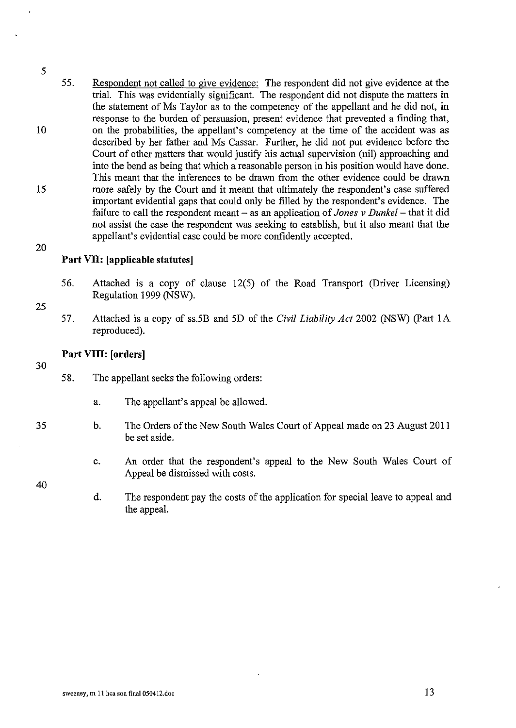10 15 20 55. Respondent not called to give evidence: The respondent did not give evidence at the trial. This was evidentially significant. The respondent did not dispute the matters in the statement of Ms Taylor as to the competency of the appellant and he did not, in response to the burden of persuasion, present evidence that prevented a finding that, on the probabilities, the appellant's competency at the time of the accident was as described by her father and Ms Cassar. Further, he did not put evidence before the Court of other matters that would justifY his actual supervision (nil) approaching and into the bend as being that which a reasonable person in his position would have done. This meant that the inferences to be drawn from the other evidence could be drawn more safely by the Court and it meant that ultimately the respondent's case suffered important evidential gaps that could only be filled by the respondent's evidence. The failure to call the respondent meant – as an application of *Jones v Dunkel* – that it did not assist the case the respondent was seeking to establish, but it also meant that the appellant's evidential case could be more confidently accepted.

## **Part VII: [applicable statutes]**

- 56. Attached is a copy of clause 12(5) of the Road Transport (Driver Licensing) Regulation 1999 (NSW).
- 57. Attached is a copy of ss.5B and 5D of the *Civil Liability Act* 2002 (NSW) (Part 1 A reproduced).

## **Part VIII: [orders]**

- 58. The appellant seeks the following orders:
	- a. The appellant's appeal be allowed.
- b. The Orders of the New South Wales Court of Appeal made on 23 August 2011 be set aside.
	- c. An order that the respondent's appeal to the New South Wales Court of Appeal be dismissed with costs.
	- d. The respondent pay the costs of the application for special leave to appeal and the appeal.

30

25

5

35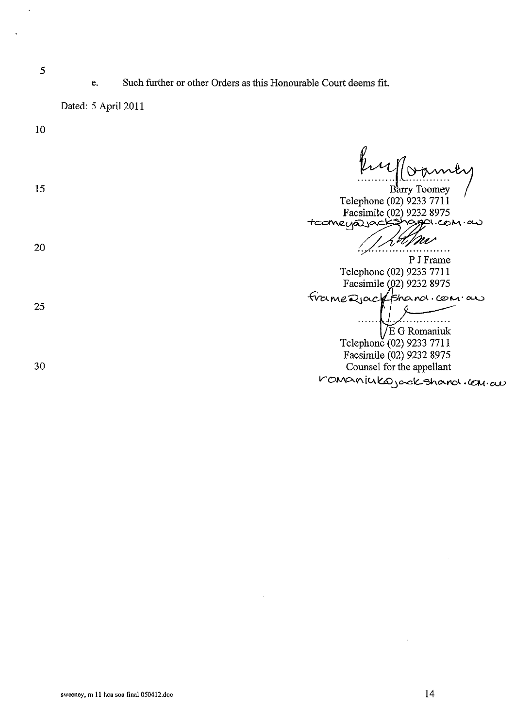e. Such further or other Orders as this Honourable Court deems fit.

Dated: 5 April 2011

10 Englo 15 **Barry Toomey**<br>Telephone (02) 9233 7711 Facsimile (02) 9232 8975 +comeya ack sharpa.com.as  $\mathcal{W}$ <br>P J Frame 20 Telephone (02) 9233 7711 Facsimile 02) 9232 8975 frame Rjack fshand.com.au 25 . . . . . . . . . . . E G Romaniuk Telephone (02) 9233 7711 Facsimile (02) 9232 8975 30 Counsel for the appellant  $V$  OManiuka jack shard.com.cu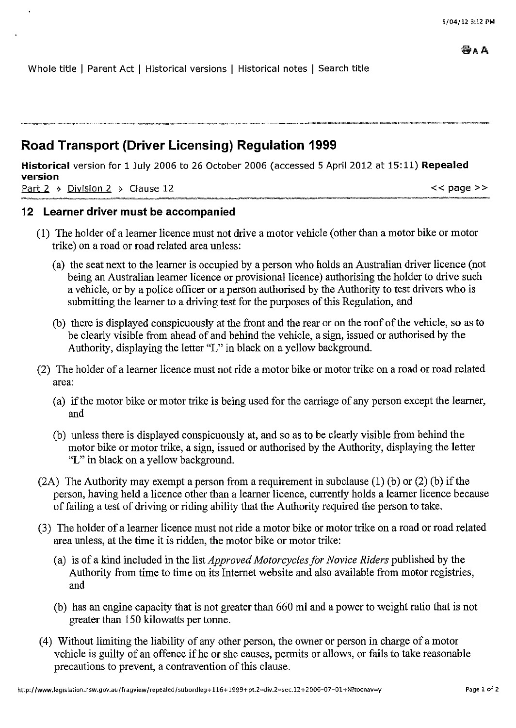Whole title | Parent Act | Historical versions | Historical notes | Search title

## **Road Transport (Driver Licensing) Regulation 1999**

**Historical** version for 1 July 2006 to 26 October 2006 (accessed 5 April 2012 at 15: 11) **Repealed version**  Part 2  $\rightarrow$  Division 2  $\rightarrow$  Clause 12  $\rightarrow$ 

## **12 Learner driver must be accompanied**

- (1) The holder of a Ieamer licence must not drive a motor vehicle (other than a motor bike or motor trike) on a road or road related area unless:
	- (a) the seat next to the learner is occupied by a person who holds an Australian driver licence (not being an Australian learner licence or provisional licence) authorising the holder to drive such a vehicle, or by a police officer or a person authorised by the Authority to test drivers who is submitting the learner to a driving test for the purposes of this Regulation, and
	- (b) there is displayed conspicuously at the front and the rear or on the roof of the vehicle, so as to be clearly visible from ahead of and behind the vehicle, a sign, issued or authorised by the Authority, displaying the letter "L" in black on a yellow background.
- (2) The holder of a learner licence must not ride a motor bike or motor trike on a road or road related area:
	- (a) if the motor bike or motor trike is being used for the carriage of any person except the learner, and
	- (b) unless there is displayed conspicuously at, and so as to be clearly visible from behind the motor bike or motor trike, a sign, issued or authorised by the Authority, displaying the letter "L" in black on a yellow background.
- (2A) The Authority may exempt a person from a requirement in subclause (1) (b) or (2) (b) if the person, having held a licence other than a learner licence, currently holds a learner licence because of failing a test of driving or riding ability that the Authority required the person to take.
- (3) The holder of a learner licence must not ride a motor bike or motor trike on a road or road related area unless, at the time it is ridden, the motor bike or motor trike:
	- (a) is of a kind included in the list *Approved Motorcycles for Novice Riders* published by the Authority from time to time on its Internet website and also available from motor registries, and
	- (b) has an engine capacity that is not greater than 660 ml and a power to weight ratio that is not greater than 150 kilowatts per tonne.
- ( 4) Without limiting the liability of any other person, the owner or person in charge of a motor vehicle is guilty of an offence if he or she causes, permits or allows, or fails to take reasonable precautions to prevent, a contravention of this clause.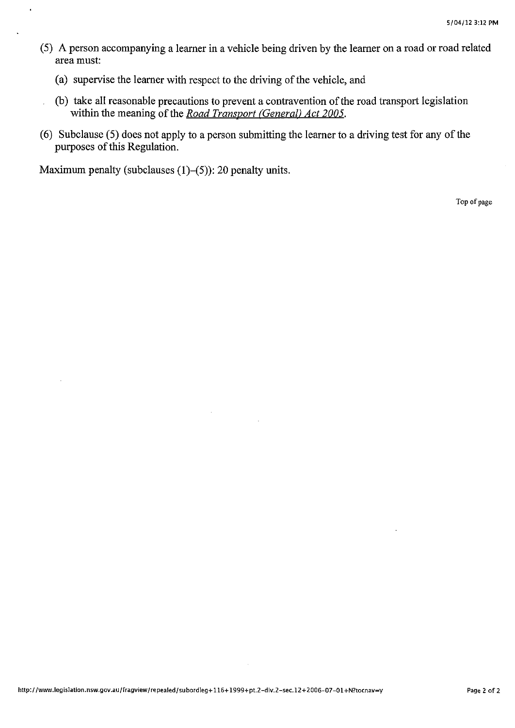- (5) A person accompanying a learner in a vehicle being driven by the learner on a road or road related area must:
	- (a) supervise the learner with respect to the driving of the vehicle, and
	- (b) take all reasonable precautions to prevent a contravention of the road transport legislation within the meaning of the *Road Transport (General) Act 2005*.
- ( 6) Subclause ( 5) does not apply to a person submitting the learner to a driving test for any of the purposes of this Regulation.

Maximum penalty (subclauses  $(1)$ – $(5)$ ): 20 penalty units.

Top of page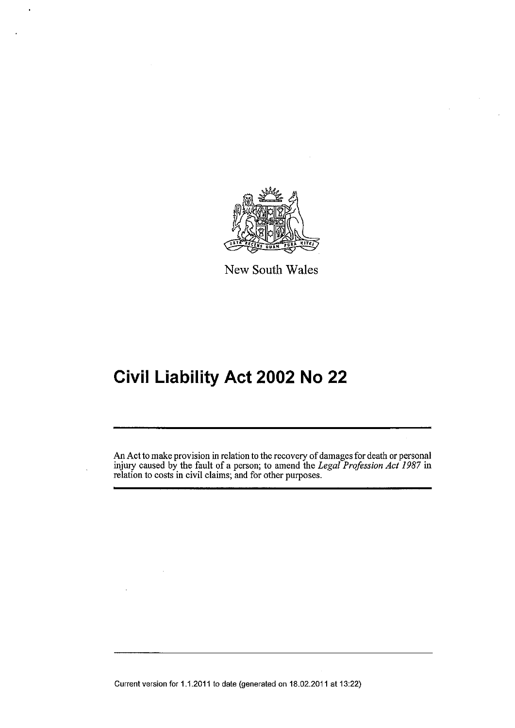

New South Wales

# **Civil Liability Act 2002 No 22**

An Act to make provision in relation to the recovery of damages for death or personal injury caused by the fault of a person; to amend the *Legal Profession Act 1987* in relation to costs in civil claims; and for other purposes.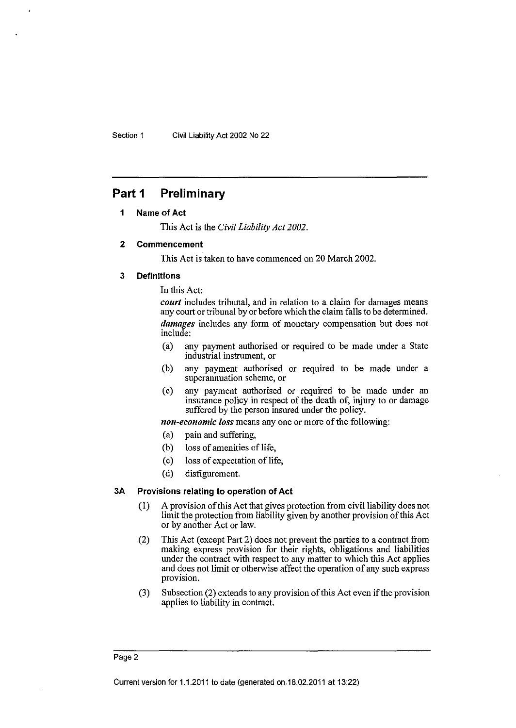## **Part 1 Preliminary**

#### **1 Name of Act**

This Act is the Civil *Liability Act 2002.* 

#### **2 Commencement**

This Act is taken to have commenced on 20 March 2002.

#### **3 Definitions**

In this Act:

*court* includes tribunal, and in relation to a claim for damages means any court or tribunal by or before which the claim falls to be determined. *damages* includes any form of monetary compensation but does not include:

- (a) any payment authorised or required to be made under a State industrial instrument, or
- (b) any payment authorised or required to be made under a superannuation scheme, or
- (c) any payment authorised or required to be made under an insurance policy in respect of the death of, injury to or damage suffered by the person insured under the policy.

*non-economic loss* means any one or more of the following:

- (a) pain and suffering,
- (b) loss of amenities of life,
- (c) loss of expectation of life,
- (d) disfigurement.

#### **3A Provisions relating to operation of Act**

- (!) A provision of this Act that gives protection from civil liability does not limit the protection from liability given by another provision of this Act or by another Act or law.
- (2) This Act (except Part 2) does not prevent the parties to a contract from making express provision for their rights, obligations and liabilities under the contract with respect to any matter to which this Act applies and does not limit or otherwise affect the operation of any such express provision.
- (3) Subsection (2) extends to any provision of this Act even if the provision applies to liability in contract.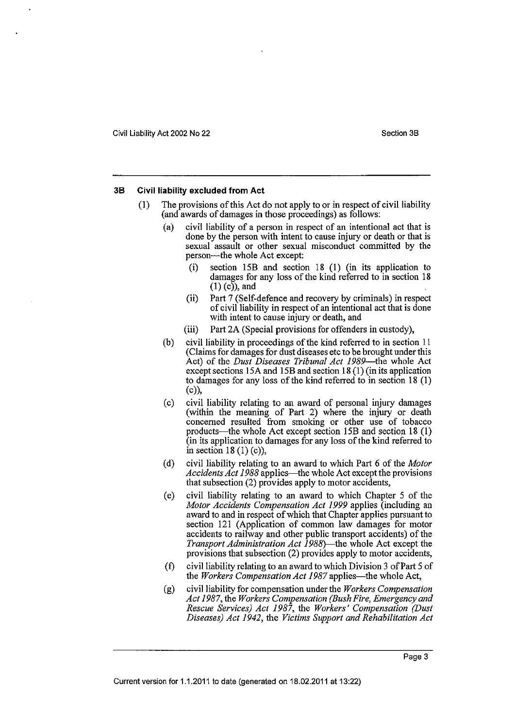#### **38 Civil liability excluded from Act**

- (I) The provisions of this Act do not apply to or in respect of civil liability (and awards of damages in those proceedings) as follows:
	- (a) civil liability of a person in respect of an intentional act that is done by the person with intent to cause injury or death or that is sexual assault or other sexual misconduct committed by the person---the whole Act except:
		- (i) section 15B and section 18 (!) (in its application to damages for any loss of the kind referred to in section 18  $(1)$  (c), and
		- (ii) Part 7 (Self-defence and recovery by criminals) in respect of civil liability in respect of an intentional act that is done with intent to cause injury or death, and
		- (iii) Part 2A (Special provisions for offenders in custody),
	- (b) civil liability in proceedings of the kind referred to in section II (Claims for damages for dust diseases etc to be brought under this Act) of the *Dust Diseases Tribunal Act 1989*—the whole Act except sections 15A and 15B and section 18 (I) (in its application to damages for any loss of the kind referred to in section 18 (I) (c)),
	- (c) civil liability relating to an award of personal injury damages (within the meaning of Part 2) where the injury or death concerned resulted from smoking or other use of tobacco products—the whole Act except section 15B and section 18 (1) (in its application to damages for any loss of the kind referred to in section 18  $(1)$  (c)),
	- (d) civil liability relating to an award to which Part 6 of the *Motor*  Accidents Act 1988 applies—the whole Act except the provisions that subsection (2) provides apply to motor accidents,
	- (e) civil liability relating to an award to which Chapter 5 of the *Motor Accidents Compensation Act 1999* applies (including an award to and in respect of which that Chapter applies pursuant to section 121 (Application of common law damages for motor accidents to railway and other public transport accidents) of the *Transport Administration Act 1988}--the* whole Act except the provisions that subsection (2) provides apply to motor accidents,
	- $(f)$  civil liability relating to an award to which Division 3 of Part 5 of the *Workers Compensation Act 1987* applies—the whole Act,
	- (g) civil liability for compensation under the *Workers Compensation Act 1987,* the *Workers Compensation (Bush Fire, Emergency and Rescue Services) Act 1987,* the *Workers' Compensation (Dust Diseases) Act 1942,* the *Victims Support and Rehabilitation Act*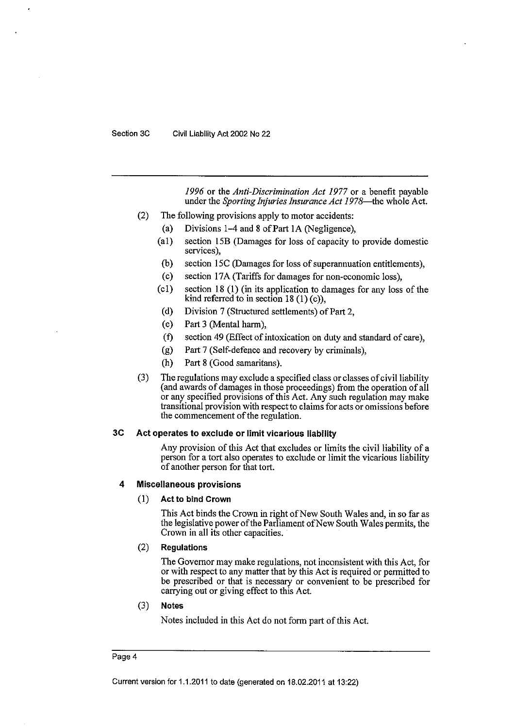*1996* or the *Anti-Discrimination Act 1977* or a benefit payable under the *Sporting Injuries Insurance Act 1978*—the whole Act.

- (2) The following provisions apply to motor accidents:
	- (a) Divisions  $1-4$  and  $8$  of Part 1A (Negligence),
	- (a!) section 15B (Damages for loss of capacity to provide domestic services),
	- (b) section 15C (Damages for loss of superannuation entitlements),
	- (c) section 17A (Tariffs for damages for non-economic loss),
	- (cl) section 18 (I) (in its application to damages for any loss of the kind referred to in section 18  $(1)$  (c)),
	- (d) Division 7 (Structured settlements) of Part 2,
	- (e) Part 3 (Mental harm),
	- (f) section 49 (Effect of intoxication on duty and standard of care),
	- (g) Part 7 (Self-defence and recovery by criminals),
	- (h) Part 8 (Good samaritans).
- (3) The regulations may exclude a specified class or classes of civil liability (and awards of damages in those proceedings) from the operation of all or any specified provisions of this Act. Any such regulation may make transitional provision with respect to claims for acts or omissions before the commencement of the regulation.

#### **3C Act operates to exclude or limit vicarious liability**

Any provision of this Act that excludes or limits the civil liability of a person for a tort also operates to exclude or limit the vicarious liability of another person for that tort.

#### **4 Miscellaneous provisions**

#### (I) **Act to bind Crown**

This Act binds the Crown in right of New South Wales and, in so far as the legislative power ofthe Parliament ofNew South Wales permits, the Crown in all its other capacities.

#### (2) **Regulations**

The Governor may make regulations, not inconsistent with this Act, for or with respect to any matter that by this Act is required or permitted to be prescribed or that is necessary or convenient to be prescribed for carrying out or giving effect to this Act.

#### (3) **Notes**

Notes included in this Act do not form part of this Act.

#### Page 4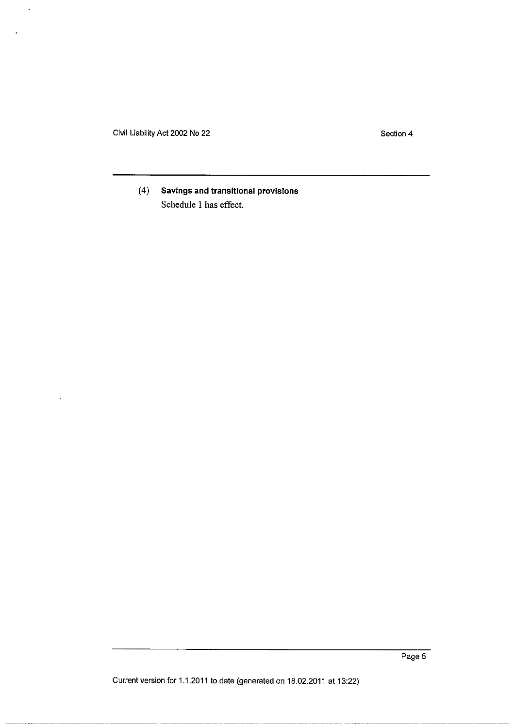Civil Liability Act 2002 No 22

 $\overline{a}$ 

Section 4

## ( 4) **Savings and transitional provisions**  Schedule 1 has effect.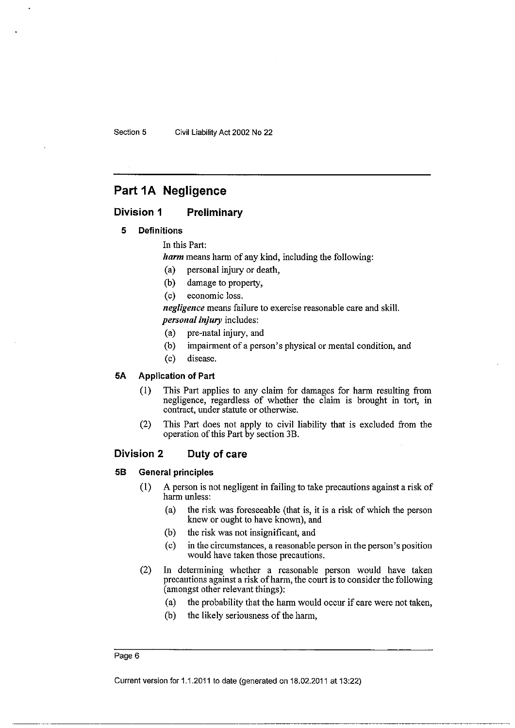## Part 1A Negligence

#### Division 1 Preliminary

#### 5 Definitions

In this Part:

*harm* means harm of any kind, including the following:

- (a) personal injury or death,
- (b) damage to property,
- (c) economic loss.

*negligence* means failure to exercise reasonable care and skill. *personal injury* includes:

- (a) pre-natal injury, and
- (b) impairment of a person's physical or mental condition, and
- (c) disease.

#### SA Application of Part

- (I) This Part applies to any claim for damages for harm resulting from negligence, regardless of whether the claim is brought in tort, in contract, under statute or otherwise.
- (2) This Part does not apply to civil liability that is excluded from the operation of this Part by section 3B.

#### Division 2 Duty of care

#### 58 General principles

- (I) A person is not negligent in failing to take precautions against a risk of harm unless:
	- (a) the risk was foreseeable (that is, it is a risk of which the person knew or ought to have known), and
	- (b) the risk was not insignificant, and
	- (c) in the circumstances, a reasonable person in the person's position would have taken those precautions.
- (2) In determining whether a reasonable person would have taken precautions against a risk of harm, the court is to consider the following (amongst other relevant things):
	- (a) the probability that the harm would occur if care were not taken,
	- (b) the likely seriousness of the harm,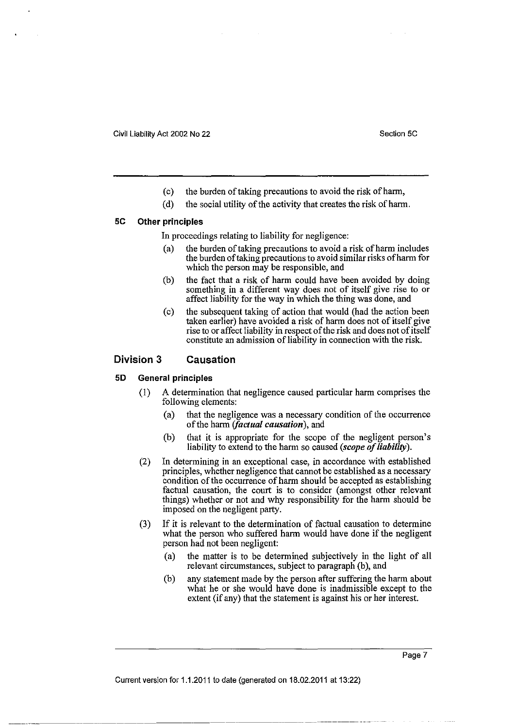- (c) the burden of taking precautions to avoid the risk of harm,
- (d) the social utility of the activity that creates the risk of harm.

#### **5C Other principles**

In proceedings relating to liability for negligence:

- (a) the burden of taking precautions to avoid a risk of harm includes the burden of taking precautions to avoid similar risks of harm for which the person may be responsible, and
- (b) the fact that a risk of harm could have been avoided by doing something in a different way does not of itself give rise to or affect liability for the way in which the thing was done, and
- (c) the subsequent taking of action that would (had the action been taken earlier) have avoided a risk of harm does not of itself give rise to or affect liability in respect of the risk and does not of itself constitute an admission of liability in connection with the risk.

#### **Division 3 Causation**

#### **50 General principles**

- {I) A determination that negligence caused particular harm comprises the following elements:
	- (a) that the negligence was a necessary condition of the occurrence of the harm *(factual causation),* and
	- (b) that it is appropriate for the scope of the negligent person's liability to extend to the harm so caused *(scope of liability).*
- (2) In determining in an exceptional case, in accordance with established principles, whether negligence that cannot be established as a necessary condition of the occurrence of harm should be accepted as establishing factual causation, the court is to consider (amongst other relevant things) whether or not and why responsibility for the harm should be imposed on the negligent party.
- (3) If it is relevant to the determination of factual causation to determine what the person who suffered harm would have done if the negligent person had not been negligent:
	- (a) the matter is to be determined subjectively in the light of all relevant circumstances, subject to paragraph (b), and
	- (b) any statement made by the person after suffering the harm about what he or she would have done is inadmissible except to the extent (if any) that the statement is against his or her interest.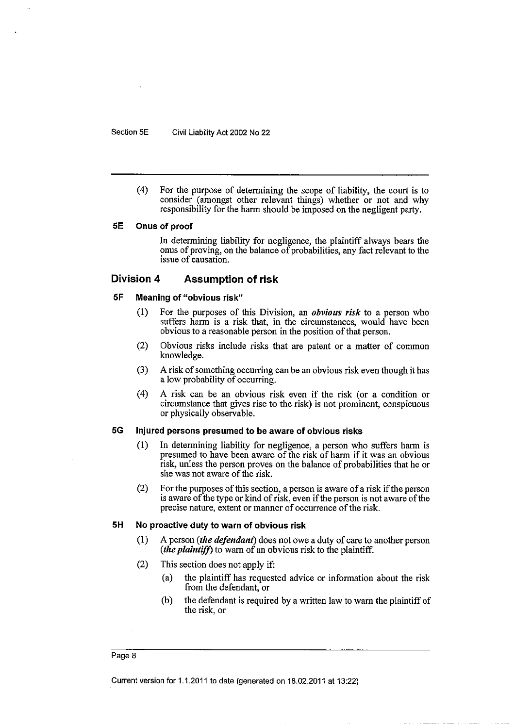( 4) For the purpose of determining the scope of liability, the court is to consider (amongst other relevant things) whether or not and why responsibility for the harm should be imposed on the negligent party.

#### SE Onus of proof

In determining liability for negligence, the plaintiff always bears the onus of proving, on the balance of probabilities, any fact relevant to the issue of causation.

#### Division 4 Assumption of risk

#### SF Meaning of "obvious risk"

- (I) For the purposes of this Division, an *obvious risk* to a person who suffers harm is a risk that, in the circumstances, would have been obvious to a reasonable person in the position of that person.
- (2) Obvious risks include risks that are patent or a matter of common knowledge.
- (3) A risk of something occurring can be an obvious risk even though it has a low probability of occurring.
- (4) A risk can be an obvious risk even if the risk (or a condition or circumstance that gives rise to the risk) is not prominent, conspicuous or physically observable.

#### 5G Injured persons presumed to be aware of obvious risks

- (I) In determining liability for negligence, a person who suffers harm is presumed to have been aware of the risk of harm if it was an obvious risk, unless the person proves on the balance of probabilities that he or she was not aware of the risk.
- (2) For the purposes of this section, a person is aware of a risk if the person is aware of the type or kind of risk, even if the person is not aware of the precise nature, extent or manner of occurrence of the risk.

#### SH No proactive duty to warn of obvious risk

- (I) A person *(the defendant)* does not owe a duty of care to another person *(the plaintiff)* to warn of an obvious risk to the plaintiff.
- (2) This section does not apply if:
	- (a) the plaintiff has requested advice or information about the risk from the defendant, or
	- (b) the defendant is required by a written law to warn the plaintiff of the risk, or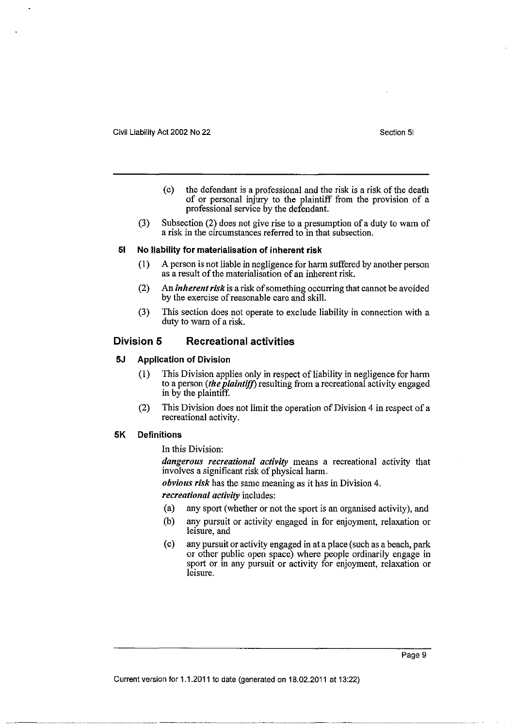- (c) the defendant is a professional and the risk is a risk of the death of or personal injury to the plaintiff from the provision of a professional service by the defendant.
- (3) Subsection (2) does not give rise to a presumption of a duty to warn of a risk in the circumstances referred to in that subsection.

#### **51 No liability for materialisation of inherent risk**

- (I) A person is not liable in negligence for harm suffered by another person as a result of the materialisation of an inherent risk.
- (2) An *inherent risk* is a risk of something occurring that cannot be avoided by the exercise of reasonable care and skill.
- (3) This section does not operate to exclude liability in connection with a duty to warn of a risk.

### **Division 5 Recreational activities**

#### **5J Application of Division**

- (I) This Division applies only in respect of liability in negligence for harm to a person *(the plaintiff)* resulting from a recreational activity engaged in by the plaintiff.
- (2) This Division does not limit the operation of Division 4 in respect of a recreational activity.

#### **5K Definitions**

In this Division:

*dangerous recreational activity* means a recreational activity that involves a significant risk of physical harm.

*obvious risk* has the same meaning as it has in Division 4.

*recreational activity* includes:

- (a) any sport (whether or not the sport is an organised activity), and
- (b) any pursuit or activity engaged in for enjoyment, relaxation or leisure, and
- (c) any pursuit or activity engaged in at a place (such as a beach, park or other public open space) where people ordinarily engage in sport or in any pursuit or activity for enjoyment, relaxation or leisure.

Page 9

--~ .. --~-----~-----·-··-··--·······--------~- .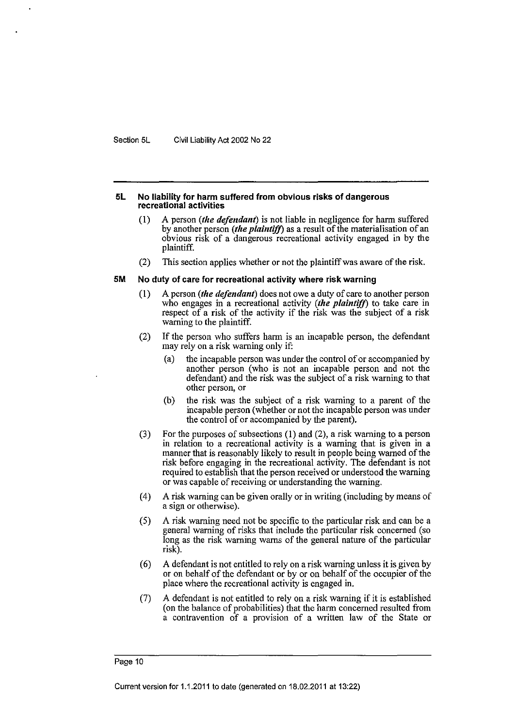#### **5L No liability for harm suffered from obvious risks of dangerous recreational activities**

- (1) A person *(the defendant)* is not liable in negligence for harm suffered by another person *(the plaintiff)* as a result of the materialisation of an obvious risk of a dangerous recreational activity engaged in by the plaintiff.
- (2) This section applies whether or not the plaintiff was aware of the risk.

#### **5M No duty of care for recreational activity where risk warning**

- (I) A person *(the defendant)* does not owe a duty of care to another person who engages in a recreational activity *(the plaintiff)* to take care in respect of a risk of the activity if the risk was the subject of a risk warning to the plaintiff.
- (2) If the person who suffers harm is an incapable person, the defendant may rely on a risk warning only if:
	- (a) the incapable person was under the control of or accompanied by another person (who is not an incapable person and not the defendant) and the risk was the subject of a risk warning to that other person, or
	- (b) the risk was the subject of a risk warning to a parent of the incapable person (whether or not the incapable person was under the control of or accompanied by the parent).
- (3) For the purposes of subsections (1) and (2), a risk warning to a person in relation to a recreational activity is a warning that is given in a manner that is reasonably likely to result in people being warned of the risk before engaging in the recreational activity. The defendant is not required to establish that the person received or understood the warning or was capable of receiving or understanding the warning.
- ( 4) A risk warning can be given orally or in writing (including by means of a sign or otherwise).
- ( 5) A risk warning need not be specific to the particular risk and can be a general warning of risks that include the particular risk concerned (so long as the risk warning warns of the general nature of the particular risk).
- ( 6) A defendant is not entitled to rely on a risk warning unless it is given by or on behalf of the defendant or by or on behalf of the occupier of the place where the recreational activity is engaged in.
- (7) A defendant is not entitled to rely on a risk warning if it is established (on the balance of probabilities) that the harm concerned resulted from a contravention of a provision of a written law of the State or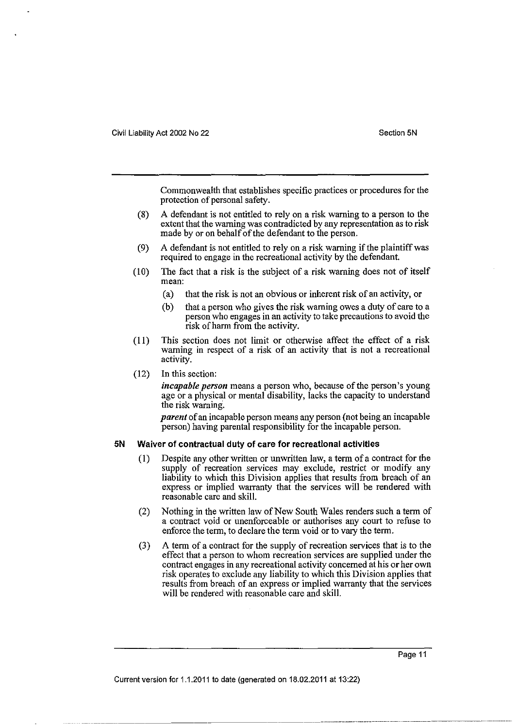Commonwealth that establishes specific practices or procedures for the protection of personal safety.

- (8) A defendant is not entitled to rely on a risk warning to a person to the extent that the warning was contradicted by any representation as to risk made by or on behalf of the defendant to the person.
- (9) A defendant is not entitled to rely on a risk warning if the plaintiff was required to engage in the recreational activity by the defendant.
- (10) The fact that a risk is the subject of a risk warning does not of itself **mean:** 
	- (a) that the risk is not an obvious or inherent risk of an activity, or
	- (b) that a person who gives the risk warning owes a duty of care to a person who engages in an activity to take precautions to avoid the risk of harm from the activity.
- (II) This section does not limit or otherwise affect the effect of a risk warning in respect of a risk of an activity that is not a recreational activity.
- (12) In this section:

*incapable person* means a person who, because of the person's young age or a physical or mental disability, lacks the capacity to understand the risk warning'.

*parent* of an incapable person means any person (not being an incapable person) having parental responsibility for the incapable person.

#### **5N Waiver of contractual duty of care for recreational activities**

- (I) Despite any other written or unwritten law, a term of a contract for the supply of recreation services may exclude, restrict or modify any liability to which this Division applies that results from breach of an express or implied warranty that the services will be rendered with reasonable care and skill.
- (2) Nothing in the written law of New South Wales renders such a term of a contract void or unenforceable or authorises any court to refuse to enforce the term, to declare the term void or to vary the term.
- (3) A term of a contract for the supply of recreation services that is to the effect that a person to whom recreation services are supplied under the contract engages in any recreational activity concerned at his or her own risk operates to exclude any liability to which this Division applies that results from breach of an express or implied warranty that the services will be rendered with reasonable care and skill.

Page 11

···-··--------------------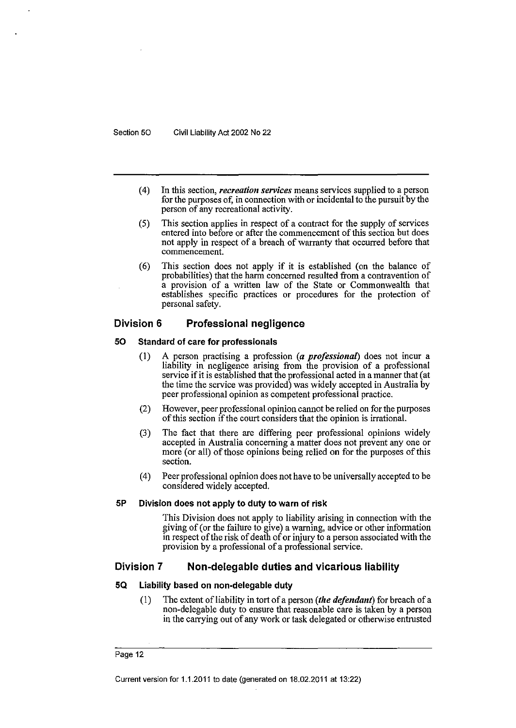- (4) In this section, *recreation services* means services supplied to a person for the purposes of, in connection with or incidental to the pursuit by the person of any recreational activity.
- (5) This section applies in respect of a contract for the supply of services entered into before or after the commencement of this section but does not apply in respect of a breach of warranty that occurred before that **commencement.**
- ( 6) This section does not apply if it is established (on the balance of probabilities) that the harm concerned resulted from a contravention of a provision of a written law of the State or Commonwealth that establishes specific practices or procedures for the protection of personal safety.

#### **Division 6 Professional negligence**

#### **50 Standard of care for professionals**

- (I) A person practising a profession *(a professional)* does not incur a liability in negligence arising from the provision of a professional service if it is established that the professional acted in a manner that (at the time the service was provided) was widely accepted in Australia by peer professional opinion as competent professional practice.
- (2) However, peer professional opinion cannot be relied on for the purposes of this section if the court considers that the opinion is irrational.
- (3) The fact that there are differing peer professional opinions widely accepted in Australia concerning a matter does not prevent any one or more (or all) of those opinions being relied on for the purposes of this section.
- ( 4) Peer professional opinion does not have to be universally accepted to be considered widely accepted.

#### **SP Division does not apply to duty to warn of risk**

This Division does not apply to liability arising in connection with the giving of (or the failure to give) a warning, advice or other information in respect of the risk of death of or injury to a person associated with the provision by a professional of a professional service.

#### **Division 7 Non-delegable duties and vicarious liability**

#### **SQ Liability based on non-delegable duty**

(1) The extent of liability in tort of a person *(the defendant)* for breach of a non-delegable duty to ensure that reasonable care is taken by a person in the carrying out of any work or task delegated or otherwise entrusted